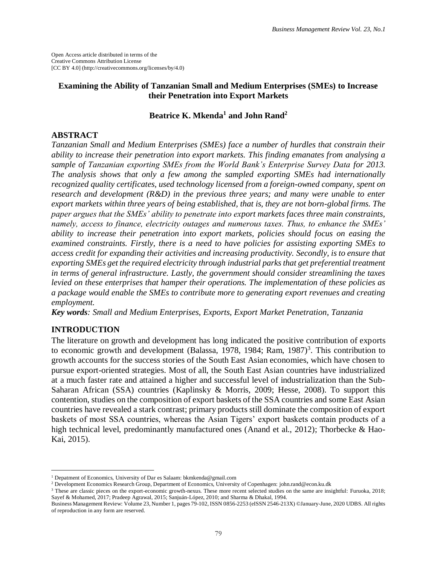Open Access article distributed in terms of the Creative Commons Attribution License [CC BY 4.0] (http://creativecommons.org/licenses/by/4.0)

## **Examining the Ability of Tanzanian Small and Medium Enterprises (SMEs) to Increase their Penetration into Export Markets**

## **Beatrice K. Mkenda<sup>1</sup> and John Rand<sup>2</sup>**

#### **ABSTRACT**

*Tanzanian Small and Medium Enterprises (SMEs) face a number of hurdles that constrain their ability to increase their penetration into export markets. This finding emanates from analysing a sample of Tanzanian exporting SMEs from the World Bank's Enterprise Survey Data for 2013. The analysis shows that only a few among the sampled exporting SMEs had internationally recognized quality certificates, used technology licensed from a foreign-owned company, spent on research and development (R&D) in the previous three years; and many were unable to enter export markets within three years of being established, that is, they are not born-global firms. The paper argues that the SMEs' ability to penetrate into export markets faces three main constraints, namely, access to finance, electricity outages and numerous taxes. Thus, to enhance the SMEs' ability to increase their penetration into export markets, policies should focus on easing the examined constraints. Firstly, there is a need to have policies for assisting exporting SMEs to access credit for expanding their activities and increasing productivity. Secondly, is to ensure that exporting SMEs get the required electricity through industrial parks that get preferential treatment in terms of general infrastructure. Lastly, the government should consider streamlining the taxes levied on these enterprises that hamper their operations. The implementation of these policies as a package would enable the SMEs to contribute more to generating export revenues and creating employment.*

*Key words: Small and Medium Enterprises, Exports, Export Market Penetration, Tanzania*

# **INTRODUCTION**

 $\overline{a}$ 

The literature on growth and development has long indicated the positive contribution of exports to economic growth and development (Balassa, 1978, 1984; Ram, 1987)<sup>3</sup>. This contribution to growth accounts for the success stories of the South East Asian economies, which have chosen to pursue export-oriented strategies. Most of all, the South East Asian countries have industrialized at a much faster rate and attained a higher and successful level of industrialization than the Sub-Saharan African (SSA) countries (Kaplinsky & Morris, 2009; Hesse, 2008). To support this contention, studies on the composition of export baskets of the SSA countries and some East Asian countries have revealed a stark contrast; primary products still dominate the composition of export baskets of most SSA countries, whereas the Asian Tigers' export baskets contain products of a high technical level, predominantly manufactured ones (Anand et al., 2012); Thorbecke & Hao-Kai, 2015).

<sup>&</sup>lt;sup>1</sup> Depatment of Economics, University of Dar es Salaam: bkmkenda@gmail.com

<sup>2</sup> Development Economics Research Group, Department of Economics, University of Copenhagen: john.rand@econ.ku.dk

<sup>&</sup>lt;sup>3</sup> These are classic pieces on the export-economic growth-nexus. These more recent selected studies on the same are insightful: Furuoka, 2018; Sayef & Mohamed, 2017; Pradeep Agrawal, 2015; Sanjuán‐López, 2010; and Sharma & Dhakal, 1994.

Business Management Review: Volume 23, Number 1, pages 79-102, ISSN 0856-2253 (eISSN 2546-213X) ©January-June, 2020 UDBS. All rights of reproduction in any form are reserved.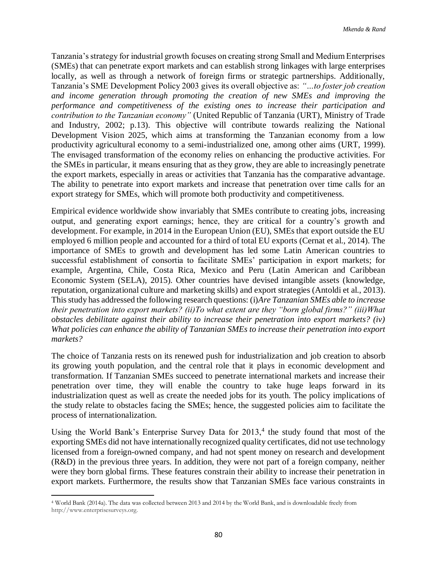Tanzania's strategy for industrial growth focuses on creating strong Small and Medium Enterprises (SMEs) that can penetrate export markets and can establish strong linkages with large enterprises locally, as well as through a network of foreign firms or strategic partnerships. Additionally, Tanzania's SME Development Policy 2003 gives its overall objective as: *"…to foster job creation and income generation through promoting the creation of new SMEs and improving the performance and competitiveness of the existing ones to increase their participation and contribution to the Tanzanian economy"* (United Republic of Tanzania (URT), Ministry of Trade and Industry, 2002; p.13). This objective will contribute towards realizing the National Development Vision 2025, which aims at transforming the Tanzanian economy from a low productivity agricultural economy to a semi-industrialized one, among other aims (URT, 1999). The envisaged transformation of the economy relies on enhancing the productive activities. For the SMEs in particular, it means ensuring that as they grow, they are able to increasingly penetrate the export markets, especially in areas or activities that Tanzania has the comparative advantage. The ability to penetrate into export markets and increase that penetration over time calls for an export strategy for SMEs, which will promote both productivity and competitiveness.

Empirical evidence worldwide show invariably that SMEs contribute to creating jobs, increasing output, and generating export earnings; hence, they are critical for a country's growth and development. For example, in 2014 in the European Union (EU), SMEs that export outside the EU employed 6 million people and accounted for a third of total EU exports (Cernat et al., 2014). The importance of SMEs to growth and development has led some Latin American countries to successful establishment of consortia to facilitate SMEs' participation in export markets; for example, Argentina, Chile, Costa Rica, Mexico and Peru (Latin American and Caribbean Economic System (SELA), 2015). Other countries have devised intangible assets (knowledge, reputation, organizational culture and marketing skills) and export strategies (Antoldi et al., 2013). This study has addressed the following research questions: (i)*Are Tanzanian SMEs able to increase their penetration into export markets? (ii)To what extent are they "born global firms?" (iii)What obstacles debilitate against their ability to increase their penetration into export markets? (iv) What policies can enhance the ability of Tanzanian SMEs to increase their penetration into export markets?* 

The choice of Tanzania rests on its renewed push for industrialization and job creation to absorb its growing youth population, and the central role that it plays in economic development and transformation. If Tanzanian SMEs succeed to penetrate international markets and increase their penetration over time, they will enable the country to take huge leaps forward in its industrialization quest as well as create the needed jobs for its youth. The policy implications of the study relate to obstacles facing the SMEs; hence, the suggested policies aim to facilitate the process of internationalization.

Using the World Bank's Enterprise Survey Data for  $2013<sup>4</sup>$ , the study found that most of the exporting SMEs did not have internationally recognized quality certificates, did not use technology licensed from a foreign-owned company, and had not spent money on research and development (R&D) in the previous three years. In addition, they were not part of a foreign company, neither were they born global firms. These features constrain their ability to increase their penetration in export markets. Furthermore, the results show that Tanzanian SMEs face various constraints in

 $\overline{\phantom{a}}$ 

<sup>4</sup> World Bank (2014a). The data was collected between 2013 and 2014 by the World Bank, and is downloadable freely from http://www.enterprisesurveys.org.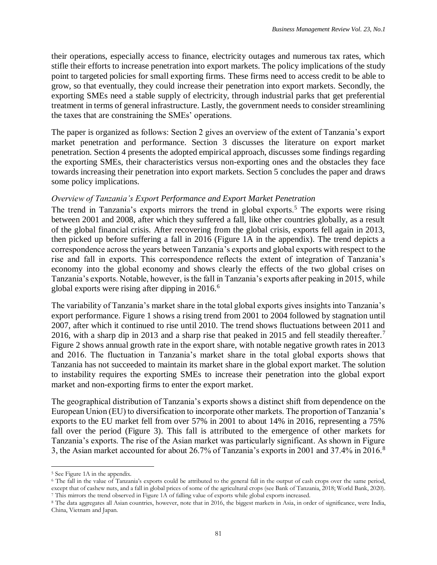their operations, especially access to finance, electricity outages and numerous tax rates, which stifle their efforts to increase penetration into export markets. The policy implications of the study point to targeted policies for small exporting firms. These firms need to access credit to be able to grow, so that eventually, they could increase their penetration into export markets. Secondly, the exporting SMEs need a stable supply of electricity, through industrial parks that get preferential treatment in terms of general infrastructure. Lastly, the government needs to consider streamlining the taxes that are constraining the SMEs' operations.

The paper is organized as follows: Section 2 gives an overview of the extent of Tanzania's export market penetration and performance. Section 3 discusses the literature on export market penetration. Section 4 presents the adopted empirical approach, discusses some findings regarding the exporting SMEs, their characteristics versus non-exporting ones and the obstacles they face towards increasing their penetration into export markets. Section 5 concludes the paper and draws some policy implications.

# *Overview of Tanzania's Export Performance and Export Market Penetration*

The trend in Tanzania's exports mirrors the trend in global exports.<sup>5</sup> The exports were rising between 2001 and 2008, after which they suffered a fall, like other countries globally, as a result of the global financial crisis. After recovering from the global crisis, exports fell again in 2013, then picked up before suffering a fall in 2016 (Figure 1A in the appendix). The trend depicts a correspondence across the years between Tanzania's exports and global exports with respect to the rise and fall in exports. This correspondence reflects the extent of integration of Tanzania's economy into the global economy and shows clearly the effects of the two global crises on Tanzania's exports. Notable, however, is the fall in Tanzania's exports after peaking in 2015, while global exports were rising after dipping in  $2016<sup>6</sup>$ 

The variability of Tanzania's market share in the total global exports gives insights into Tanzania's export performance. Figure 1 shows a rising trend from 2001 to 2004 followed by stagnation until 2007, after which it continued to rise until 2010. The trend shows fluctuations between 2011 and 2016, with a sharp dip in 2013 and a sharp rise that peaked in 2015 and fell steadily thereafter.<sup>7</sup> Figure 2 shows annual growth rate in the export share, with notable negative growth rates in 2013 and 2016. The fluctuation in Tanzania's market share in the total global exports shows that Tanzania has not succeeded to maintain its market share in the global export market. The solution to instability requires the exporting SMEs to increase their penetration into the global export market and non-exporting firms to enter the export market.

The geographical distribution of Tanzania's exports shows a distinct shift from dependence on the European Union (EU) to diversification to incorporate other markets. The proportion of Tanzania's exports to the EU market fell from over 57% in 2001 to about 14% in 2016, representing a 75% fall over the period (Figure 3). This fall is attributed to the emergence of other markets for Tanzania's exports. The rise of the Asian market was particularly significant. As shown in Figure 3, the Asian market accounted for about 26.7% of Tanzania's exports in 2001 and 37.4% in 2016.<sup>8</sup>

 $\overline{\phantom{a}}$ 

<sup>5</sup> See Figure 1A in the appendix.

<sup>6</sup> The fall in the value of Tanzania's exports could be attributed to the general fall in the output of cash crops over the same period, except that of cashew nuts, and a fall in global prices of some of the agricultural crops (see Bank of Tanzania, 2018; World Bank, 2020). <sup>7</sup> This mirrors the trend observed in Figure 1A of falling value of exports while global exports increased.

<sup>8</sup> The data aggregates all Asian countries, however, note that in 2016, the biggest markets in Asia, in order of significance, were India, China, Vietnam and Japan.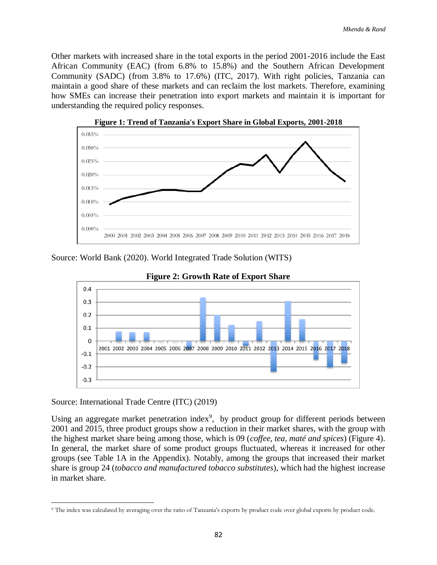Other markets with increased share in the total exports in the period 2001-2016 include the East African Community (EAC) (from 6.8% to 15.8%) and the Southern African Development Community (SADC) (from 3.8% to 17.6%) (ITC, 2017). With right policies, Tanzania can maintain a good share of these markets and can reclaim the lost markets. Therefore, examining how SMEs can increase their penetration into export markets and maintain it is important for understanding the required policy responses.



**Figure 1: Trend of Tanzania's Export Share in Global Exports, 2001-2018**

Source: World Bank (2020). World Integrated Trade Solution (WITS)



**Figure 2: Growth Rate of Export Share**

Source: International Trade Centre (ITC) (2019)

Using an aggregate market penetration index<sup>9</sup>, by product group for different periods between 2001 and 2015, three product groups show a reduction in their market shares, with the group with the highest market share being among those, which is 09 (*coffee, tea, maté and spices*) (Figure 4). In general, the market share of some product groups fluctuated, whereas it increased for other groups (see Table 1A in the Appendix). Notably, among the groups that increased their market share is group 24 (*tobacco and manufactured tobacco substitutes*), which had the highest increase in market share.

 $\overline{\phantom{a}}$ <sup>9</sup> The index was calculated by averaging over the ratio of Tanzania's exports by product code over global exports by product code.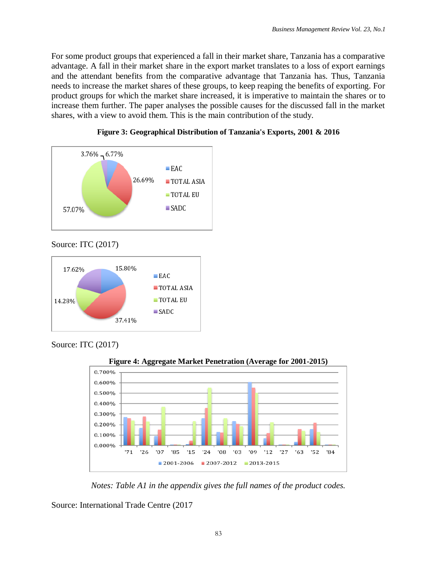For some product groups that experienced a fall in their market share, Tanzania has a comparative advantage. A fall in their market share in the export market translates to a loss of export earnings and the attendant benefits from the comparative advantage that Tanzania has. Thus, Tanzania needs to increase the market shares of these groups, to keep reaping the benefits of exporting. For product groups for which the market share increased, it is imperative to maintain the shares or to increase them further. The paper analyses the possible causes for the discussed fall in the market shares, with a view to avoid them. This is the main contribution of the study.





Source: ITC (2017)



Source: ITC (2017)



**Figure 4: Aggregate Market Penetration (Average for 2001-2015)**

*Notes: Table A1 in the appendix gives the full names of the product codes.*

Source: International Trade Centre (2017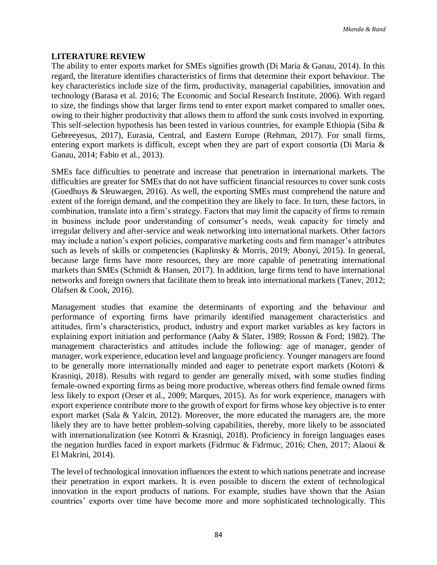#### **LITERATURE REVIEW**

The ability to enter exports market for SMEs signifies growth (Di Maria & Ganau, 2014). In this regard, the literature identifies characteristics of firms that determine their export behaviour. The key characteristics include size of the firm, productivity, managerial capabilities, innovation and technology (Barasa et al. 2016; The Economic and Social Research Institute, 2006). With regard to size, the findings show that larger firms tend to enter export market compared to smaller ones, owing to their higher productivity that allows them to afford the sunk costs involved in exporting. This self-selection hypothesis has been tested in various countries, for example Ethiopia (Siba & Gebreeyesus, 2017), Eurasia, Central, and Eastern Europe (Rehman, 2017). For small firms, entering export markets is difficult, except when they are part of export consortia (Di Maria & Ganau, 2014; Fabio et al., 2013).

SMEs face difficulties to penetrate and increase that penetration in international markets. The difficulties are greater for SMEs that do not have sufficient financial resources to cover sunk costs (Goedhuys & Sleuwaegen, 2016). As well, the exporting SMEs must comprehend the nature and extent of the foreign demand, and the competition they are likely to face. In turn, these factors, in combination, translate into a firm's strategy. Factors that may limit the capacity of firms to remain in business include poor understanding of consumer's needs, weak capacity for timely and irregular delivery and after-service and weak networking into international markets. Other factors may include a nation's export policies, comparative marketing costs and firm manager's attributes such as levels of skills or competencies (Kaplinsky & Morris, 2019; Abonyi, 2015). In general, because large firms have more resources, they are more capable of penetrating international markets than SMEs (Schmidt & Hansen, 2017). In addition, large firms tend to have international networks and foreign owners that facilitate them to break into international markets (Tanev, 2012; Olafsen & Cook, 2016).

Management studies that examine the determinants of exporting and the behaviour and performance of exporting firms have primarily identified management characteristics and attitudes, firm's characteristics, product, industry and export market variables as key factors in explaining export initiation and performance (Aaby & Slater, 1989; Rosson & Ford; 1982). The management characteristics and attitudes include the following: age of manager, gender of manager, work experience, education level and language proficiency. Younger managers are found to be generally more internationally minded and eager to penetrate export markets (Kotorri & Krasniqi, 2018). Results with regard to gender are generally mixed, with some studies finding female-owned exporting firms as being more productive, whereas others find female owned firms less likely to export (Orser et al., 2009; Marques, 2015). As for work experience, managers with export experience contribute more to the growth of export for firms whose key objective is to enter export market (Sala & Yalcin, 2012). Moreover, the more educated the managers are, the more likely they are to have better problem-solving capabilities, thereby, more likely to be associated with internationalization (see Kotorri & Krasniqi, 2018). Proficiency in foreign languages eases the negation hurdles faced in export markets (Fidrmuc & Fidrmuc, 2016; Chen, 2017; Alaoui & El Makrini, 2014).

The level of technological innovation influences the extent to which nations penetrate and increase their penetration in export markets. It is even possible to discern the extent of technological innovation in the export products of nations. For example, studies have shown that the Asian countries' exports over time have become more and more sophisticated technologically. This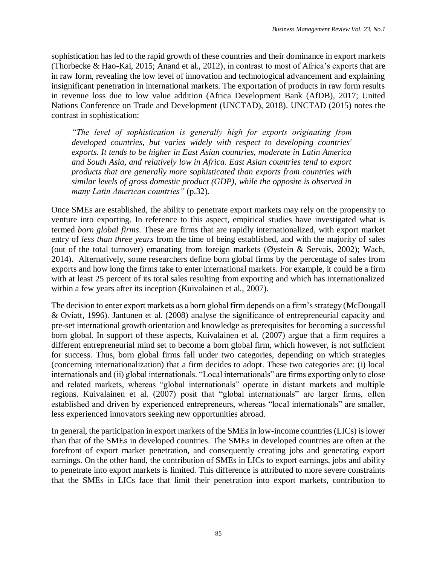sophistication has led to the rapid growth of these countries and their dominance in export markets (Thorbecke & Hao-Kai, 2015; Anand et al., 2012), in contrast to most of Africa's exports that are in raw form, revealing the low level of innovation and technological advancement and explaining insignificant penetration in international markets. The exportation of products in raw form results in revenue loss due to low value addition (Africa Development Bank (AfDB), 2017; United Nations Conference on Trade and Development (UNCTAD), 2018). UNCTAD (2015) notes the contrast in sophistication:

*"The level of sophistication is generally high for exports originating from developed countries, but varies widely with respect to developing countries' exports. It tends to be higher in East Asian countries, moderate in Latin America and South Asia, and relatively low in Africa. East Asian countries tend to export products that are generally more sophisticated than exports from countries with similar levels of gross domestic product (GDP), while the opposite is observed in many Latin American countries"* (p.32)*.* 

Once SMEs are established, the ability to penetrate export markets may rely on the propensity to venture into exporting. In reference to this aspect, empirical studies have investigated what is termed *born global firms*. These are firms that are rapidly internationalized, with export market entry of *less than three years* from the time of being established, and with the majority of sales (out of the total turnover) emanating from foreign markets (Øystein & Servais, 2002); Wach, 2014). Alternatively, some researchers define born global firms by the percentage of sales from exports and how long the firms take to enter international markets. For example, it could be a firm with at least 25 percent of its total sales resulting from exporting and which has internationalized within a few years after its inception (Kuivalainen et al., 2007).

The decision to enter export markets as a born global firm depends on a firm's strategy (McDougall & Oviatt, 1996). Jantunen et al. (2008) analyse the significance of entrepreneurial capacity and pre-set international growth orientation and knowledge as prerequisites for becoming a successful born global. In support of these aspects, Kuivalainen et al. (2007) argue that a firm requires a different entrepreneurial mind set to become a born global firm, which however, is not sufficient for success. Thus, born global firms fall under two categories, depending on which strategies (concerning internationalization) that a firm decides to adopt. These two categories are: (i) local internationals and (ii) global internationals. "Local internationals" are firms exporting only to close and related markets, whereas "global internationals" operate in distant markets and multiple regions. Kuivalainen et al. (2007) posit that "global internationals" are larger firms, often established and driven by experienced entrepreneurs, whereas "local internationals" are smaller, less experienced innovators seeking new opportunities abroad.

In general, the participation in export markets of the SMEs in low-income countries (LICs) is lower than that of the SMEs in developed countries. The SMEs in developed countries are often at the forefront of export market penetration, and consequently creating jobs and generating export earnings. On the other hand, the contribution of SMEs in LICs to export earnings, jobs and ability to penetrate into export markets is limited. This difference is attributed to more severe constraints that the SMEs in LICs face that limit their penetration into export markets, contribution to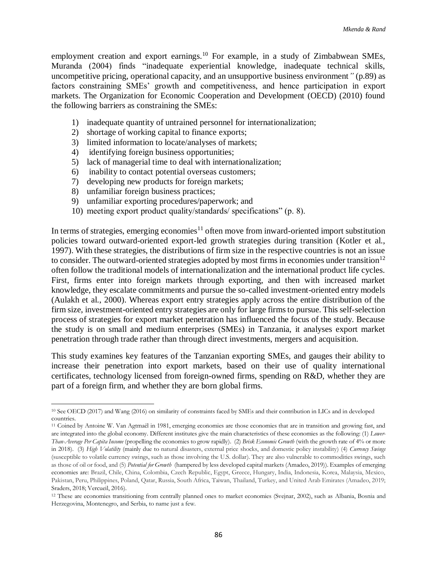employment creation and export earnings.<sup>10</sup> For example, in a study of Zimbabwean SMEs, Muranda (2004) finds "inadequate experiential knowledge, inadequate technical skills, uncompetitive pricing, operational capacity, and an unsupportive business environment*"* (p.89) as factors constraining SMEs' growth and competitiveness, and hence participation in export markets. The Organization for Economic Cooperation and Development (OECD) (2010) found the following barriers as constraining the SMEs:

- 1) inadequate quantity of untrained personnel for internationalization;
- 2) shortage of working capital to finance exports;
- 3) limited information to locate/analyses of markets;
- 4) identifying foreign business opportunities;
- 5) lack of managerial time to deal with internationalization;
- 6) inability to contact potential overseas customers;
- 7) developing new products for foreign markets;
- 8) unfamiliar foreign business practices;
- 9) unfamiliar exporting procedures/paperwork; and
- 10) meeting export product quality/standards/ specifications" (p. 8).

In terms of strategies, emerging economies<sup>11</sup> often move from inward-oriented import substitution policies toward outward-oriented export-led growth strategies during transition (Kotler et al., 1997). With these strategies, the distributions of firm size in the respective countries is not an issue to consider. The outward-oriented strategies adopted by most firms in economies under transition<sup>12</sup> often follow the traditional models of internationalization and the international product life cycles. First, firms enter into foreign markets through exporting, and then with increased market knowledge, they escalate commitments and pursue the so-called investment-oriented entry models (Aulakh et al., 2000). Whereas export entry strategies apply across the entire distribution of the firm size, investment-oriented entry strategies are only for large firms to pursue. This self-selection process of strategies for export market penetration has influenced the focus of the study. Because the study is on small and medium enterprises (SMEs) in Tanzania, it analyses export market penetration through trade rather than through direct investments, mergers and acquisition.

This study examines key features of the Tanzanian exporting SMEs, and gauges their ability to increase their penetration into export markets, based on their use of quality international certificates, technology licensed from foreign-owned firms, spending on R&D, whether they are part of a foreign firm, and whether they are born global firms.

 $\overline{\phantom{a}}$ <sup>10</sup> See OECD (2017) and Wang (2016) on similarity of constraints faced by SMEs and their contribution in LICs and in developed countries.

<sup>11</sup> Coined by Antoine W. Van Agtmaël in 1981, emerging economies are those economies that are in transition and growing fast, and are integrated into the global economy. Different institutes give the main characteristics of these economies as the following: (1) *Lower-Than-Average Per Capita Income* (propelling the economies to grow rapidly). (2) *Brisk Economic Growth* (with the growth rate of 4% or more in 2018). (3) *High Volatility* (mainly due to natural disasters, external price shocks, and domestic policy instability) (4) *Currency Swings* (susceptible to volatile currency swings, such as those involving the U.S. dollar). They are also vulnerable to commodities swings, such as those of oil or food, and (5) *Potential for Growth* (hampered by less developed capital markets (Amadeo, 2019)). Examples of emerging economies are: Brazil, Chile, China, Colombia, Czech Republic, Egypt, Greece, Hungary, India, Indonesia, Korea, Malaysia, Mexico, Pakistan, Peru, Philippines, Poland, Qatar, Russia, South Africa, Taiwan, Thailand, Turkey, and United Arab Emirates (Amadeo, 2019; Sraders, 2018; Vercueil, 2016).

<sup>12</sup> These are economies transitioning from centrally planned ones to market economies (Svejnar, 2002), such as Albania, Bosnia and Herzegovina, Montenegro, and Serbia, to name just a few.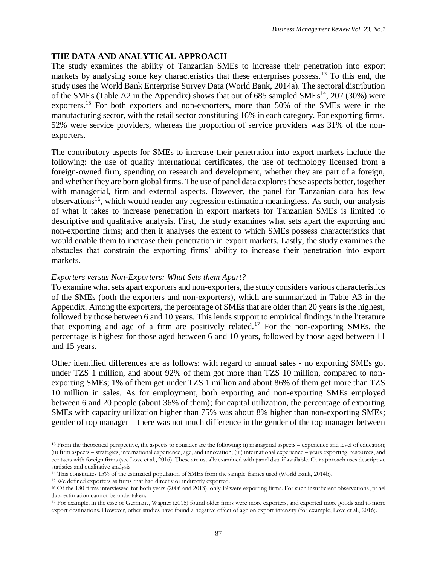# **THE DATA AND ANALYTICAL APPROACH**

The study examines the ability of Tanzanian SMEs to increase their penetration into export markets by analysing some key characteristics that these enterprises possess.<sup>13</sup> To this end, the study uses the World Bank Enterprise Survey Data (World Bank, 2014a). The sectoral distribution of the SMEs (Table A2 in the Appendix) shows that out of  $685$  sampled SMEs<sup>14</sup>, 207 (30%) were exporters.<sup>15</sup> For both exporters and non-exporters, more than 50% of the SMEs were in the manufacturing sector, with the retail sector constituting 16% in each category. For exporting firms, 52% were service providers, whereas the proportion of service providers was 31% of the nonexporters.

The contributory aspects for SMEs to increase their penetration into export markets include the following: the use of quality international certificates, the use of technology licensed from a foreign-owned firm, spending on research and development, whether they are part of a foreign, and whether they are born global firms. The use of panel data explores these aspects better, together with managerial, firm and external aspects. However, the panel for Tanzanian data has few observations<sup>16</sup>, which would render any regression estimation meaningless. As such, our analysis of what it takes to increase penetration in export markets for Tanzanian SMEs is limited to descriptive and qualitative analysis. First, the study examines what sets apart the exporting and non-exporting firms; and then it analyses the extent to which SMEs possess characteristics that would enable them to increase their penetration in export markets. Lastly, the study examines the obstacles that constrain the exporting firms' ability to increase their penetration into export markets.

# *Exporters versus Non-Exporters: What Sets them Apart?*

To examine what sets apart exporters and non-exporters, the study considers various characteristics of the SMEs (both the exporters and non-exporters), which are summarized in Table A3 in the Appendix. Among the exporters, the percentage of SMEs that are older than 20 years is the highest, followed by those between 6 and 10 years. This lends support to empirical findings in the literature that exporting and age of a firm are positively related.<sup>17</sup> For the non-exporting SMEs, the percentage is highest for those aged between 6 and 10 years, followed by those aged between 11 and 15 years.

Other identified differences are as follows: with regard to annual sales - no exporting SMEs got under TZS 1 million, and about 92% of them got more than TZS 10 million, compared to nonexporting SMEs; 1% of them get under TZS 1 million and about 86% of them get more than TZS 10 million in sales. As for employment, both exporting and non-exporting SMEs employed between 6 and 20 people (about 36% of them); for capital utilization, the percentage of exporting SMEs with capacity utilization higher than 75% was about 8% higher than non-exporting SMEs; gender of top manager – there was not much difference in the gender of the top manager between

 $\overline{a}$ 

<sup>&</sup>lt;sup>13</sup> From the theoretical perspective, the aspects to consider are the following: (i) managerial aspects – experience and level of education; (ii) firm aspects – strategies, international experience, age, and innovation; (iii) international experience – years exporting, resources, and contacts with foreign firms (see Love et al., 2016). These are usually examined with panel data if available. Our approach uses descriptive statistics and qualitative analysis.

<sup>14</sup> This constitutes 15% of the estimated population of SMEs from the sample frames used (World Bank, 2014b).

<sup>15</sup> We defined exporters as firms that had directly or indirectly exported.

<sup>16</sup> Of the 180 firms interviewed for both years (2006 and 2013), only 19 were exporting firms. For such insufficient observations, panel data estimation cannot be undertaken.

<sup>17</sup> For example, in the case of Germany, Wagner (2015) found older firms were more exporters, and exported more goods and to more export destinations. However, other studies have found a negative effect of age on export intensity (for example, Love et al., 2016).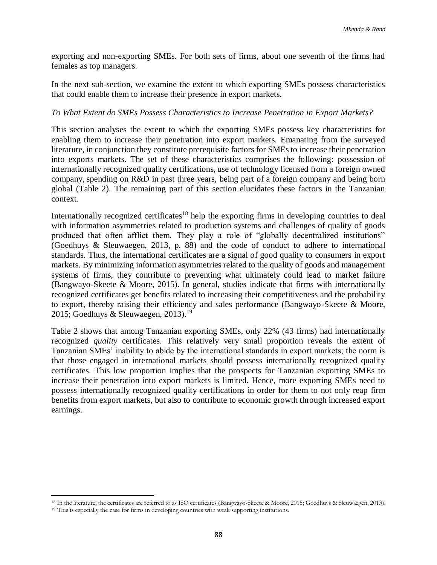exporting and non-exporting SMEs. For both sets of firms, about one seventh of the firms had females as top managers.

In the next sub-section, we examine the extent to which exporting SMEs possess characteristics that could enable them to increase their presence in export markets.

#### *To What Extent do SMEs Possess Characteristics to Increase Penetration in Export Markets?*

This section analyses the extent to which the exporting SMEs possess key characteristics for enabling them to increase their penetration into export markets. Emanating from the surveyed literature, in conjunction they constitute prerequisite factors for SMEs to increase their penetration into exports markets. The set of these characteristics comprises the following: possession of internationally recognized quality certifications, use of technology licensed from a foreign owned company, spending on R&D in past three years, being part of a foreign company and being born global (Table 2). The remaining part of this section elucidates these factors in the Tanzanian context.

Internationally recognized certificates<sup>18</sup> help the exporting firms in developing countries to deal with information asymmetries related to production systems and challenges of quality of goods produced that often afflict them. They play a role of "globally decentralized institutions" (Goedhuys & Sleuwaegen, 2013, p. 88) and the code of conduct to adhere to international standards. Thus, the international certificates are a signal of good quality to consumers in export markets. By minimizing information asymmetries related to the quality of goods and management systems of firms, they contribute to preventing what ultimately could lead to market failure (Bangwayo-Skeete & Moore, 2015). In general, studies indicate that firms with internationally recognized certificates get benefits related to increasing their competitiveness and the probability to export, thereby raising their efficiency and sales performance (Bangwayo-Skeete & Moore, 2015; Goedhuys & Sleuwaegen, 2013).<sup>19</sup>

Table 2 shows that among Tanzanian exporting SMEs, only 22% (43 firms) had internationally recognized *quality* certificates. This relatively very small proportion reveals the extent of Tanzanian SMEs' inability to abide by the international standards in export markets; the norm is that those engaged in international markets should possess internationally recognized quality certificates. This low proportion implies that the prospects for Tanzanian exporting SMEs to increase their penetration into export markets is limited. Hence, more exporting SMEs need to possess internationally recognized quality certifications in order for them to not only reap firm benefits from export markets, but also to contribute to economic growth through increased export earnings.

 $\overline{\phantom{a}}$ 

<sup>18</sup> In the literature, the certificates are referred to as ISO certificates (Bangwayo-Skeete & Moore, 2015; Goedhuys & Sleuwaegen, 2013). <sup>19</sup> This is especially the case for firms in developing countries with weak supporting institutions.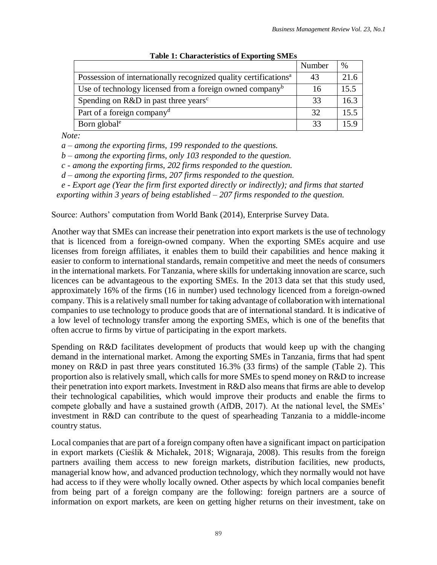|                                                                              | Number | $\%$ |
|------------------------------------------------------------------------------|--------|------|
| Possession of internationally recognized quality certifications <sup>a</sup> | 43     | 21.6 |
| Use of technology licensed from a foreign owned company <sup>b</sup>         | 16     | 15.5 |
| Spending on R&D in past three years <sup>c</sup>                             | 33     | 16.3 |
| Part of a foreign company <sup>d</sup>                                       | 32     | 15.5 |
| Born global <sup>e</sup>                                                     | 33     | 15.9 |

| <b>Table 1: Characteristics of Exporting SMEs</b> |  |
|---------------------------------------------------|--|
|                                                   |  |

*Note:* 

*a – among the exporting firms, 199 responded to the questions.*

*b – among the exporting firms, only 103 responded to the question.*

*c - among the exporting firms, 202 firms responded to the question.*

*d – among the exporting firms, 207 firms responded to the question.*

*e - Export age (Year the firm first exported directly or indirectly); and firms that started* 

*exporting within 3 years of being established – 207 firms responded to the question.*

Source: Authors' computation from World Bank (2014), Enterprise Survey Data.

Another way that SMEs can increase their penetration into export markets is the use of technology that is licenced from a foreign-owned company. When the exporting SMEs acquire and use licenses from foreign affiliates, it enables them to build their capabilities and hence making it easier to conform to international standards, remain competitive and meet the needs of consumers in the international markets. For Tanzania, where skills for undertaking innovation are scarce, such licences can be advantageous to the exporting SMEs. In the 2013 data set that this study used, approximately 16% of the firms (16 in number) used technology licenced from a foreign-owned company. This is a relatively small number for taking advantage of collaboration with international companies to use technology to produce goods that are of international standard. It is indicative of a low level of technology transfer among the exporting SMEs, which is one of the benefits that often accrue to firms by virtue of participating in the export markets.

Spending on R&D facilitates development of products that would keep up with the changing demand in the international market. Among the exporting SMEs in Tanzania, firms that had spent money on R&D in past three years constituted 16.3% (33 firms) of the sample (Table 2). This proportion also is relatively small, which calls for more SMEs to spend money on R&D to increase their penetration into export markets. Investment in R&D also means that firms are able to develop their technological capabilities, which would improve their products and enable the firms to compete globally and have a sustained growth (AfDB, 2017). At the national level, the SMEs' investment in R&D can contribute to the quest of spearheading Tanzania to a middle-income country status.

Local companies that are part of a foreign company often have a significant impact on participation in export markets (Cieślik & Michałek, 2018; Wignaraja, 2008). This results from the foreign partners availing them access to new foreign markets, distribution facilities, new products, managerial know how, and advanced production technology, which they normally would not have had access to if they were wholly locally owned. Other aspects by which local companies benefit from being part of a foreign company are the following: foreign partners are a source of information on export markets, are keen on getting higher returns on their investment, take on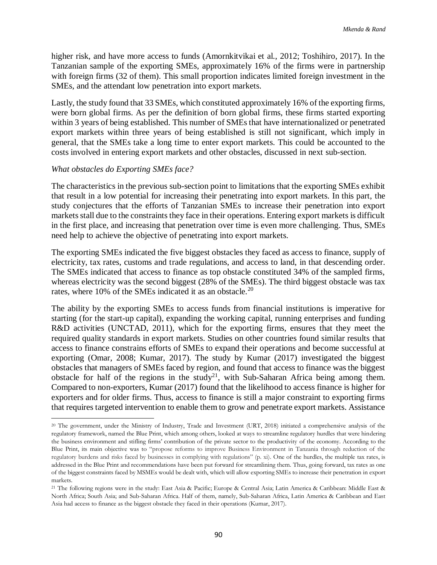higher risk, and have more access to funds (Amornkitvikai et al., 2012; Toshihiro, 2017). In the Tanzanian sample of the exporting SMEs, approximately 16% of the firms were in partnership with foreign firms (32 of them). This small proportion indicates limited foreign investment in the SMEs, and the attendant low penetration into export markets.

Lastly, the study found that 33 SMEs, which constituted approximately 16% of the exporting firms, were born global firms. As per the definition of born global firms, these firms started exporting within 3 years of being established. This number of SMEs that have internationalized or penetrated export markets within three years of being established is still not significant, which imply in general, that the SMEs take a long time to enter export markets. This could be accounted to the costs involved in entering export markets and other obstacles, discussed in next sub-section.

#### *What obstacles do Exporting SMEs face?*

The characteristics in the previous sub-section point to limitations that the exporting SMEs exhibit that result in a low potential for increasing their penetrating into export markets. In this part, the study conjectures that the efforts of Tanzanian SMEs to increase their penetration into export markets stall due to the constraints they face in their operations. Entering export markets is difficult in the first place, and increasing that penetration over time is even more challenging. Thus, SMEs need help to achieve the objective of penetrating into export markets.

The exporting SMEs indicated the five biggest obstacles they faced as access to finance, supply of electricity, tax rates, customs and trade regulations, and access to land, in that descending order. The SMEs indicated that access to finance as top obstacle constituted 34% of the sampled firms, whereas electricity was the second biggest (28% of the SMEs). The third biggest obstacle was tax rates, where 10% of the SMEs indicated it as an obstacle.<sup>20</sup>

The ability by the exporting SMEs to access funds from financial institutions is imperative for starting (for the start-up capital), expanding the working capital, running enterprises and funding R&D activities (UNCTAD, 2011), which for the exporting firms, ensures that they meet the required quality standards in export markets. Studies on other countries found similar results that access to finance constrains efforts of SMEs to expand their operations and become successful at exporting (Omar, 2008; Kumar, 2017). The study by Kumar (2017) investigated the biggest obstacles that managers of SMEs faced by region, and found that access to finance was the biggest obstacle for half of the regions in the study<sup>21</sup>, with Sub-Saharan Africa being among them. Compared to non-exporters, Kumar (2017) found that the likelihood to access finance is higher for exporters and for older firms. Thus, access to finance is still a major constraint to exporting firms that requires targeted intervention to enable them to grow and penetrate export markets. Assistance

 $\overline{\phantom{a}}$ <sup>20</sup> The government, under the Ministry of Industry, Trade and Investment (URT, 2018) initiated a comprehensive analysis of the regulatory framework, named the Blue Print, which among others, looked at ways to streamline regulatory hurdles that were hindering the business environment and stifling firms' contribution of the private sector to the productivity of the economy. According to the Blue Print, its main objective was to "propose reforms to improve Business Environment in Tanzania through reduction of the regulatory burdens and risks faced by businesses in complying with regulations" (p. xi). One of the hurdles, the multiple tax rates, is addressed in the Blue Print and recommendations have been put forward for streamlining them. Thus, going forward, tax rates as one of the biggest constraints faced by MSMEs would be dealt with, which will allow exporting SMEs to increase their penetration in export markets.

<sup>21</sup> The following regions were in the study: East Asia & Pacific; Europe & Central Asia; Latin America & Caribbean: Middle East & North Africa; South Asia; and Sub-Saharan Africa. Half of them, namely, Sub-Saharan Africa, Latin America & Caribbean and East Asia had access to finance as the biggest obstacle they faced in their operations (Kumar, 2017).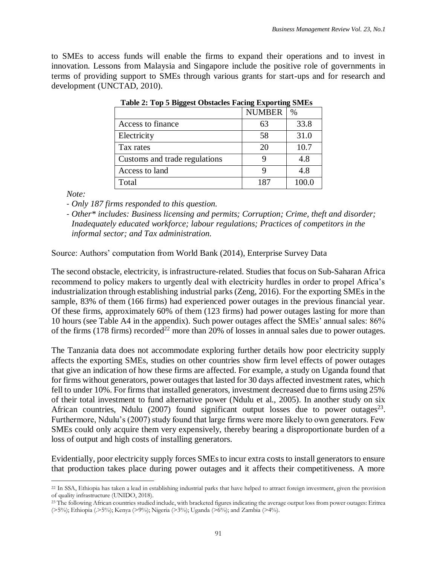to SMEs to access funds will enable the firms to expand their operations and to invest in innovation. Lessons from Malaysia and Singapore include the positive role of governments in terms of providing support to SMEs through various grants for start-ups and for research and development (UNCTAD, 2010).

|                               | <b>NUMBER</b> | $\%$  |
|-------------------------------|---------------|-------|
| Access to finance             | 63            | 33.8  |
| Electricity                   | 58            | 31.0  |
| Tax rates                     | 20            | 10.7  |
| Customs and trade regulations | ч             | 4.8   |
| Access to land                |               | 4.8   |
| Total                         | 187           | 100.0 |

 **Table 2: Top 5 Biggest Obstacles Facing Exporting SMEs**

*Note:* 

- *Only 187 firms responded to this question.*
- *Other\* includes: Business licensing and permits; Corruption; Crime, theft and disorder; Inadequately educated workforce; labour regulations; Practices of competitors in the informal sector; and Tax administration.*

Source: Authors' computation from World Bank (2014), Enterprise Survey Data

The second obstacle, electricity, is infrastructure-related. Studies that focus on Sub-Saharan Africa recommend to policy makers to urgently deal with electricity hurdles in order to propel Africa's industrialization through establishing industrial parks (Zeng, 2016). For the exporting SMEs in the sample, 83% of them (166 firms) had experienced power outages in the previous financial year. Of these firms, approximately 60% of them (123 firms) had power outages lasting for more than 10 hours (see Table A4 in the appendix). Such power outages affect the SMEs' annual sales: 86% of the firms (178 firms) recorded<sup>22</sup> more than 20% of losses in annual sales due to power outages.

The Tanzania data does not accommodate exploring further details how poor electricity supply affects the exporting SMEs, studies on other countries show firm level effects of power outages that give an indication of how these firms are affected. For example, a study on Uganda found that for firms without generators, power outages that lasted for 30 days affected investment rates, which fell to under 10%. For firms that installed generators, investment decreased due to firms using 25% of their total investment to fund alternative power (Ndulu et al., 2005). In another study on six African countries, Ndulu (2007) found significant output losses due to power outages<sup>23</sup>. Furthermore, Ndulu's (2007) study found that large firms were more likely to own generators. Few SMEs could only acquire them very expensively, thereby bearing a disproportionate burden of a loss of output and high costs of installing generators.

Evidentially, poor electricity supply forces SMEs to incur extra costs to install generators to ensure that production takes place during power outages and it affects their competitiveness. A more

 $\overline{a}$ <sup>22</sup> In SSA, Ethiopia has taken a lead in establishing industrial parks that have helped to attract foreign investment, given the provision of quality infrastructure (UNIDO, 2018).

<sup>&</sup>lt;sup>23</sup> The following African countries studied include, with bracketed figures indicating the average output loss from power outages: Eritrea (>5%); Ethiopia (.>5%); Kenya (>9%); Nigeria (>3%); Uganda (>6%); and Zambia (>4%).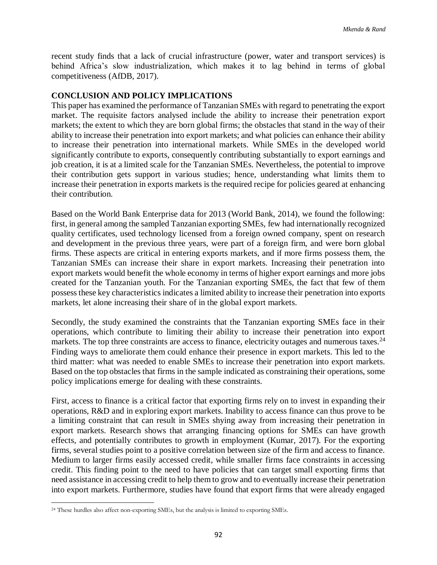recent study finds that a lack of crucial infrastructure (power, water and transport services) is behind Africa's slow industrialization, which makes it to lag behind in terms of global competitiveness (AfDB, 2017).

### **CONCLUSION AND POLICY IMPLICATIONS**

This paper has examined the performance of Tanzanian SMEs with regard to penetrating the export market. The requisite factors analysed include the ability to increase their penetration export markets; the extent to which they are born global firms; the obstacles that stand in the way of their ability to increase their penetration into export markets; and what policies can enhance their ability to increase their penetration into international markets. While SMEs in the developed world significantly contribute to exports, consequently contributing substantially to export earnings and job creation, it is at a limited scale for the Tanzanian SMEs. Nevertheless, the potential to improve their contribution gets support in various studies; hence, understanding what limits them to increase their penetration in exports markets is the required recipe for policies geared at enhancing their contribution.

Based on the World Bank Enterprise data for 2013 (World Bank, 2014), we found the following: first, in general among the sampled Tanzanian exporting SMEs, few had internationally recognized quality certificates, used technology licensed from a foreign owned company, spent on research and development in the previous three years, were part of a foreign firm, and were born global firms. These aspects are critical in entering exports markets, and if more firms possess them, the Tanzanian SMEs can increase their share in export markets. Increasing their penetration into export markets would benefit the whole economy in terms of higher export earnings and more jobs created for the Tanzanian youth. For the Tanzanian exporting SMEs, the fact that few of them possess these key characteristics indicates a limited ability to increase their penetration into exports markets, let alone increasing their share of in the global export markets.

Secondly, the study examined the constraints that the Tanzanian exporting SMEs face in their operations, which contribute to limiting their ability to increase their penetration into export markets. The top three constraints are access to finance, electricity outages and numerous taxes.<sup>24</sup> Finding ways to ameliorate them could enhance their presence in export markets. This led to the third matter: what was needed to enable SMEs to increase their penetration into export markets. Based on the top obstacles that firms in the sample indicated as constraining their operations, some policy implications emerge for dealing with these constraints.

First, access to finance is a critical factor that exporting firms rely on to invest in expanding their operations, R&D and in exploring export markets. Inability to access finance can thus prove to be a limiting constraint that can result in SMEs shying away from increasing their penetration in export markets. Research shows that arranging financing options for SMEs can have growth effects, and potentially contributes to growth in employment (Kumar, 2017). For the exporting firms, several studies point to a positive correlation between size of the firm and access to finance. Medium to larger firms easily accessed credit, while smaller firms face constraints in accessing credit. This finding point to the need to have policies that can target small exporting firms that need assistance in accessing credit to help them to grow and to eventually increase their penetration into export markets. Furthermore, studies have found that export firms that were already engaged

 $\overline{\phantom{a}}$ <sup>24</sup> These hurdles also affect non-exporting SMEs, but the analysis is limited to exporting SMEs.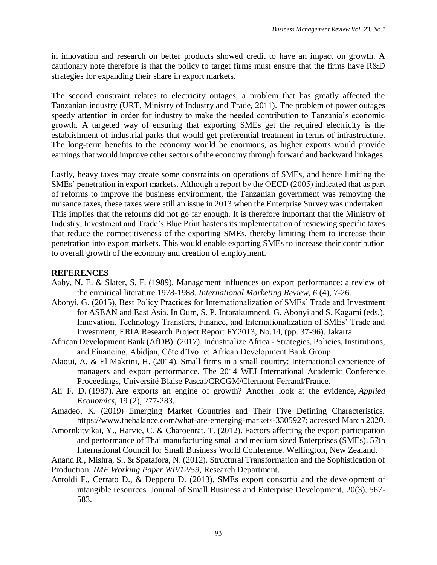in innovation and research on better products showed credit to have an impact on growth. A cautionary note therefore is that the policy to target firms must ensure that the firms have R&D strategies for expanding their share in export markets.

The second constraint relates to electricity outages, a problem that has greatly affected the Tanzanian industry (URT, Ministry of Industry and Trade, 2011). The problem of power outages speedy attention in order for industry to make the needed contribution to Tanzania's economic growth. A targeted way of ensuring that exporting SMEs get the required electricity is the establishment of industrial parks that would get preferential treatment in terms of infrastructure. The long-term benefits to the economy would be enormous, as higher exports would provide earnings that would improve other sectors of the economy through forward and backward linkages.

Lastly, heavy taxes may create some constraints on operations of SMEs, and hence limiting the SMEs' penetration in export markets. Although a report by the OECD (2005) indicated that as part of reforms to improve the business environment, the Tanzanian government was removing the nuisance taxes, these taxes were still an issue in 2013 when the Enterprise Survey was undertaken. This implies that the reforms did not go far enough. It is therefore important that the Ministry of Industry, Investment and Trade's Blue Print hastens its implementation of reviewing specific taxes that reduce the competitiveness of the exporting SMEs, thereby limiting them to increase their penetration into export markets. This would enable exporting SMEs to increase their contribution to overall growth of the economy and creation of employment.

# **REFERENCES**

- Aaby, N. E. & Slater, S. F. (1989). Management influences on export performance: a review of the empirical literature 1978-1988. *International Marketing Review*, *6* (4), 7-26.
- Abonyi, G. (2015), Best Policy Practices for Internationalization of SMEs' Trade and Investment for ASEAN and East Asia. In Oum, S. P. Intarakumnerd, G. Abonyi and S. Kagami (eds.), Innovation, Technology Transfers, Finance, and Internationalization of SMEs' Trade and Investment, ERIA Research Project Report FY2013, No.14, (pp. 37-96). Jakarta.
- African Development Bank (AfDB). (2017). Industrialize Africa Strategies, Policies, Institutions, and Financing, Abidjan, Côte d'Ivoire: African Development Bank Group.
- Alaoui, A. & El Makrini, H. (2014). Small firms in a small country: International experience of managers and export performance. The 2014 WEI International Academic Conference Proceedings, Université Blaise Pascal/CRCGM/Clermont Ferrand/France.
- Ali F. D. (1987). Are exports an engine of growth? Another look at the evidence, *Applied Economics,* 19 (2), 277-283.
- Amadeo, K. (2019) Emerging Market Countries and Their Five Defining Characteristics. https://www.thebalance.com/what-are-emerging-markets-3305927; accessed March 2020.
- Amornkitvikai, Y., Harvie, C. & Charoenrat, T. (2012). Factors affecting the export participation and performance of Thai manufacturing small and medium sized Enterprises (SMEs). 57th International Council for Small Business World Conference. Wellington, New Zealand.
- Anand R., Mishra, S., & Spatafora, N. (2012). Structural Transformation and the Sophistication of Production. *IMF Working Paper WP/12/59*, Research Department.
- Antoldi F., Cerrato D., & Depperu D. (2013). SMEs export consortia and the development of intangible resources. Journal of Small Business and Enterprise Development, 20(3), 567- 583.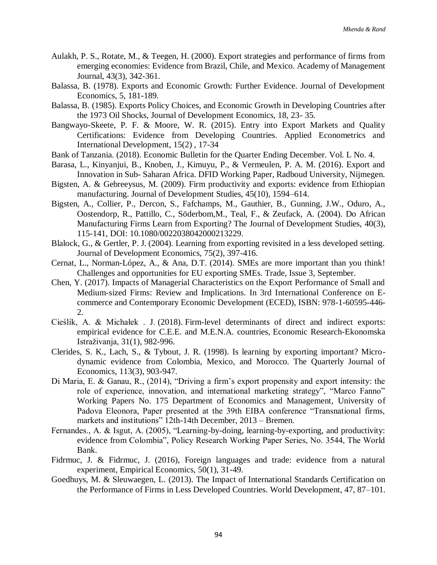- Aulakh, P. S., Rotate, M., & Teegen, H. (2000). Export strategies and performance of firms from emerging economies: Evidence from Brazil, Chile, and Mexico. Academy of Management Journal, 43(3), 342-361.
- Balassa, B. (1978). Exports and Economic Growth: Further Evidence. Journal of Development Economics, 5, 181-189.
- Balassa, B. (1985). Exports Policy Choices, and Economic Growth in Developing Countries after the 1973 Oil Shocks, Journal of Development Economics, 18, 23- 35.
- Bangwayo-Skeete, P. F. & Moore, W. R. (2015). Entry into Export Markets and Quality Certifications: Evidence from Developing Countries. Applied Econometrics and International Development, 15(2) , 17-34
- Bank of Tanzania. (2018). Economic Bulletin for the Quarter Ending December. Vol. L No. 4.
- Barasa, L., Kinyanjui, B., Knoben, J., Kimuyu, P., & Vermeulen, P. A. M. (2016). Export and Innovation in Sub- Saharan Africa. DFID Working Paper, Radboud University, Nijmegen.
- Bigsten, A. & Gebreeysus, M. (2009). Firm productivity and exports: evidence from Ethiopian manufacturing. Journal of Development Studies, 45(10), 1594–614.
- Bigsten, A., Collier, P., Dercon, S., Fafchamps, M., Gauthier, B., Gunning, J.W., Oduro, A., Oostendorp, R., Pattillo, C., Söderbom,M., Teal, F., & Zeufack, A. (2004). Do African Manufacturing Firms Learn from Exporting? The Journal of Development Studies, 40(3), 115-141, DOI: [10.1080/0022038042000213229.](https://doi.org/10.1080/0022038042000213229)
- Blalock, G., & Gertler, P. J. (2004). Learning from exporting revisited in a less developed setting. Journal of Development Economics, 75(2), 397-416.
- Cernat, L., Norman-López, A., & Ana, D.T. (2014). SMEs are more important than you think! Challenges and opportunities for EU exporting SMEs. Trade, Issue 3, September.
- Chen, Y. (2017). Impacts of Managerial Characteristics on the Export Performance of Small and Medium-sized Firms: Review and Implications. In 3rd International Conference on Ecommerce and Contemporary Economic Development (ECED), ISBN: 978-1-60595-446- 2.
- Cieślik, A. & Michałek . J. (2018). Firm-level determinants of direct and indirect exports: empirical evidence for C.E.E. and M.E.N.A. countries, Economic Research-Ekonomska Istraživanja, 31(1), 982-996.
- Clerides, S. K., Lach, S., & Tybout, J. R. (1998). Is learning by exporting important? Microdynamic evidence from Colombia, Mexico, and Morocco. The Quarterly Journal of Economics, 113(3), 903-947.
- Di Maria, E. & Ganau, R., (2014), "Driving a firm's export propensity and export intensity: the role of experience, innovation, and international marketing strategy", "Marco Fanno" Working Papers No. 175 Department of Economics and Management, University of Padova Eleonora, Paper presented at the 39th EIBA conference "Transnational firms, markets and institutions" 12th-14th December, 2013 – Bremen.
- Fernandes., A. & Isgut, A. (2005), "Learning-by-doing, learning-by-exporting, and productivity: evidence from Colombia", Policy Research Working Paper Series, No. 3544, The World Bank.
- Fidrmuc, J. & Fidrmuc, J. (2016), Foreign languages and trade: evidence from a natural experiment, Empirical Economics, 50(1), 31-49.
- Goedhuys, M. & Sleuwaegen, L. (2013). The Impact of International Standards Certification on the Performance of Firms in Less Developed Countries. World Development, 47, 87–101.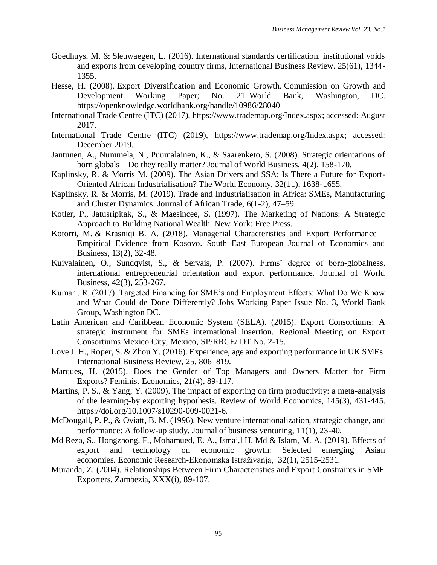- Goedhuys, M. & Sleuwaegen, L. (2016). International standards certification, institutional voids and exports from developing country firms, International Business Review. 25(61), 1344- 1355.
- Hesse, H. (2008). Export Diversification and Economic Growth. Commission on Growth and Development Working Paper; No. 21. World Bank, Washington, DC. <https://openknowledge.worldbank.org/handle/10986/28040>
- International Trade Centre (ITC) (2017), [https://www.trademap.org/Index.aspx;](https://www.trademap.org/Index.aspx) accessed: August 2017.
- International Trade Centre (ITC) (2019), [https://www.trademap.org/Index.aspx;](https://www.trademap.org/Index.aspx) accessed: December 2019.
- Jantunen, A., Nummela, N., Puumalainen, K., & Saarenketo, S. (2008). Strategic orientations of born globals—Do they really matter? Journal of World Business, 4(2), 158-170.
- Kaplinsky, R. & Morris M. (2009). The Asian Drivers and SSA: Is There a Future for Export-Oriented African Industrialisation? The World Economy, 32(11), 1638-1655.
- Kaplinsky, R. & Morris, M. (2019). Trade and Industrialisation in Africa: SMEs, Manufacturing and Cluster Dynamics. Journal of African Trade, 6(1-2), 47–59
- Kotler, P., Jatusripitak, S., & Maesincee, S. (1997). The Marketing of Nations: A Strategic Approach to Building National Wealth. New York: Free Press.
- Kotorri, M. & Krasniqi B. A. (2018). Managerial Characteristics and Export Performance Empirical Evidence from Kosovo. South East European Journal of Economics and Business, 13(2), 32-48.
- Kuivalainen, O., Sundqvist, S., & Servais, P. (2007). Firms' degree of born-globalness, international entrepreneurial orientation and export performance. Journal of World Business, 42(3), 253-267.
- Kumar , R. (2017). Targeted Financing for SME's and Employment Effects: What Do We Know and What Could de Done Differently? Jobs Working Paper Issue No. 3, World Bank Group, Washington DC.
- Latin American and Caribbean Economic System (SELA). (2015). Export Consortiums: A strategic instrument for SMEs international insertion. Regional Meeting on Export Consortiums Mexico City, Mexico, SP/RRCE/ DT No. 2-15.
- Love J. H., Roper, S. & Zhou Y. (2016). Experience, age and exporting performance in UK SMEs. International Business Review, 25, 806–819.
- Marques, H. (2015). Does the Gender of Top Managers and Owners Matter for Firm Exports? Feminist Economics, 21(4), 89-117.
- Martins, P. S., & Yang, Y. (2009). The impact of exporting on firm productivity: a meta-analysis of the learning-by exporting hypothesis. Review of World Economics, 145(3), 431-445. [https://doi.org/10.1007/s10290-009-0021-6.](https://doi.org/10.1007/s10290-009-0021-6)
- McDougall, P. P., & Oviatt, B. M. (1996). New venture internationalization, strategic change, and performance: A follow-up study. Journal of business venturing, 11(1), 23-40.
- Md Reza, S., Hongzhong, F., Mohamued, E. A., Ismai,l H. Md & Islam, M. A. (2019). Effects of export and technology on economic growth: Selected emerging Asian economies. Economic Research-Ekonomska Istraživanja, 32(1), 2515-2531.
- Muranda, Z. (2004). Relationships Between Firm Characteristics and Export Constraints in SME Exporters. Zambezia, XXX(i), 89-107.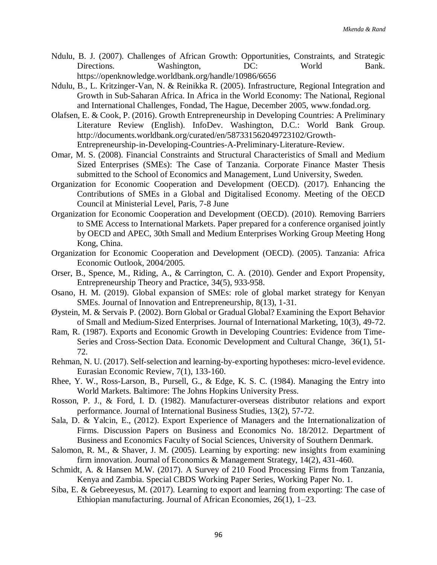- Ndulu, B. J. (2007). Challenges of African Growth: Opportunities, Constraints, and Strategic Directions. Washington, DC: World Bank. <https://openknowledge.worldbank.org/handle/10986/6656>
- Ndulu, B., L. Kritzinger-Van, N. & Reinikka R. (2005). Infrastructure, Regional Integration and Growth in Sub-Saharan Africa. In Africa in the World Economy: The National, Regional and International Challenges, Fondad, The Hague, December 2005, [www.fondad.org.](http://www.fondad.org/)
- Olafsen, E. & Cook, P. (2016). Growth Entrepreneurship in Developing Countries: A Preliminary Literature Review (English). InfoDev. Washington, D.C.: World Bank Group. [http://documents.worldbank.org/curated/en/587331562049723102/Growth-](http://documents.worldbank.org/curated/en/587331562049723102/Growth-Entrepreneurship-in-Developing-Countries-A-Preliminary-Literature-Review)[Entrepreneurship-in-Developing-Countries-A-Preliminary-Literature-Review.](http://documents.worldbank.org/curated/en/587331562049723102/Growth-Entrepreneurship-in-Developing-Countries-A-Preliminary-Literature-Review)
- Omar, M. S. (2008). Financial Constraints and Structural Characteristics of Small and Medium Sized Enterprises (SMEs): The Case of Tanzania. Corporate Finance Master Thesis submitted to the School of Economics and Management, Lund University, Sweden.
- Organization for Economic Cooperation and Development (OECD). (2017). Enhancing the Contributions of SMEs in a Global and Digitalised Economy. Meeting of the OECD Council at Ministerial Level, Paris, 7-8 June
- Organization for Economic Cooperation and Development (OECD). (2010). Removing Barriers to SME Access to International Markets. Paper prepared for a conference organised jointly by OECD and APEC, 30th Small and Medium Enterprises Working Group Meeting Hong Kong, China.
- Organization for Economic Cooperation and Development (OECD). (2005). Tanzania: Africa Economic Outlook, 2004/2005.
- Orser, B., Spence, M., Riding, A., & Carrington, C. A. (2010). Gender and Export Propensity, Entrepreneurship Theory and Practice, 34(5), 933-958.
- Osano, H. M. (2019). Global expansion of SMEs: role of global market strategy for Kenyan SMEs. Journal of Innovation and Entrepreneurship, 8(13), 1-31.
- Øystein, M. & Servais P. (2002). Born Global or Gradual Global? Examining the Export Behavior of Small and Medium-Sized Enterprises. Journal of International Marketing, 10(3), 49-72.
- Ram, R. (1987). Exports and Economic Growth in Developing Countries: Evidence from Time-Series and Cross-Section Data. Economic Development and Cultural Change, 36(1), 51- 72.
- Rehman, N. U. (2017). Self-selection and learning-by-exporting hypotheses: micro-level evidence. Eurasian Economic Review, 7(1), 133-160.
- Rhee, Y. W., Ross-Larson, B., Pursell, G., & Edge, K. S. C. (1984). Managing the Entry into World Markets. Baltimore: The Johns Hopkins University Press.
- Rosson, P. J., & Ford, I. D. (1982). Manufacturer-overseas distributor relations and export performance. Journal of International Business Studies, 13(2), 57-72.
- Sala, D. & Yalcin, E., (2012). Export Experience of Managers and the Internationalization of Firms. Discussion Papers on Business and Economics No. 18/2012. Department of Business and Economics Faculty of Social Sciences, University of Southern Denmark.
- Salomon, R. M., & Shaver, J. M. (2005). Learning by exporting: new insights from examining firm innovation. Journal of Economics & Management Strategy, 14(2), 431-460.
- Schmidt, A. & Hansen M.W. (2017). A Survey of 210 Food Processing Firms from Tanzania, Kenya and Zambia. Special CBDS Working Paper Series, Working Paper No. 1.
- Siba, E. & Gebreeyesus, M. (2017). Learning to export and learning from exporting: The case of Ethiopian manufacturing. Journal of African Economies, 26(1), 1–23.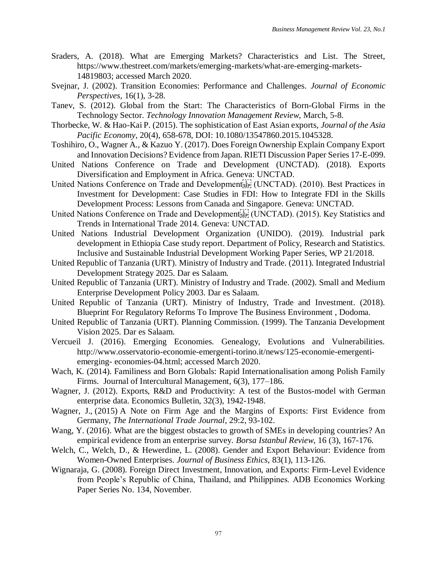- Sraders, A. (2018). What are Emerging Markets? Characteristics and List. The Street, https://www.thestreet.com/markets/emerging-markets/what-are-emerging-markets-14819803; accessed March 2020.
- Svejnar, J. (2002). Transition Economies: Performance and Challenges. *Journal of Economic Perspectives,* 16(1), 3-28.
- Tanev, S. (2012). Global from the Start: The Characteristics of Born-Global Firms in the Technology Sector. *Technology Innovation Management Review*, March, 5-8.
- Thorbecke, W. & Hao-Kai P. (2015). The sophistication of East Asian exports, *Journal of the Asia Pacific Economy*, 20(4), 658-678, DOI: [10.1080/13547860.2015.1045328.](https://doi.org/10.1080/13547860.2015.1045328)
- Toshihiro, O., Wagner A., & Kazuo Y. (2017). Does Foreign Ownership Explain Company Export and Innovation Decisions? Evidence from Japan. RIETI Discussion Paper Series 17-E-099.
- United Nations Conference on Trade and Development (UNCTAD). (2018). Exports Diversification and Employment in Africa. Geneva: UNCTAD.
- United Nations Conference on Trade and Development<sup>[1]</sup> (UNCTAD). (2010). Best Practices in Investment for Development: Case Studies in FDI: How to Integrate FDI in the Skills Development Process: Lessons from Canada and Singapore. Geneva: UNCTAD.
- United Nations Conference on Trade and Development  $\sum_{i=1}^{T-1}$  (UNCTAD). (2015). Key Statistics and Trends in International Trade 2014. Geneva: UNCTAD.
- United Nations Industrial Development Organization (UNIDO). (2019). Industrial park development in Ethiopia Case study report. Department of Policy, Research and Statistics. Inclusive and Sustainable Industrial Development Working Paper Series, WP 21/2018.
- United Republic of Tanzania (URT). Ministry of Industry and Trade. (2011). Integrated Industrial Development Strategy 2025. Dar es Salaam.
- United Republic of Tanzania (URT). Ministry of Industry and Trade. (2002). Small and Medium Enterprise Development Policy 2003. Dar es Salaam.
- United Republic of Tanzania (URT). Ministry of Industry, Trade and Investment. (2018). Blueprint For Regulatory Reforms To Improve The Business Environment , Dodoma.
- United Republic of Tanzania (URT). Planning Commission. (1999). The Tanzania Development Vision 2025. Dar es Salaam.
- Vercueil J. (2016). Emerging Economies. Genealogy, Evolutions and Vulnerabilities. http://www.osservatorio-economie-emergenti-torino.it/news/125-economie-emergentiemerging- economies-04.html; accessed March 2020.
- Wach, K. (2014). Familiness and Born Globals: Rapid Internationalisation among Polish Family Firms. Journal of Intercultural Management, 6(3), 177–186.
- Wagner, J. (2012). Exports, R&D and Productivity: A test of the Bustos-model with German enterprise data. Economics Bulletin, 32(3), 1942-1948.
- Wagner, J., (2015) A Note on Firm Age and the Margins of Exports: First Evidence from Germany, *The International Trade Journal*, 29:2, 93-102.
- Wang, Y. (2016). What are the biggest obstacles to growth of SMEs in developing countries? An empirical evidence from an enterprise survey. *Borsa Istanbul Review*, 16 (3), 167-176.
- Welch, C., Welch, D., & Hewerdine, L. (2008). Gender and Export Behaviour: Evidence from Women-Owned Enterprises. *Journal of Business Ethics*, 83(1), 113-126.
- Wignaraja, G. (2008). Foreign Direct Investment, Innovation, and Exports: Firm-Level Evidence from People's Republic of China, Thailand, and Philippines. ADB Economics Working Paper Series No. 134, November.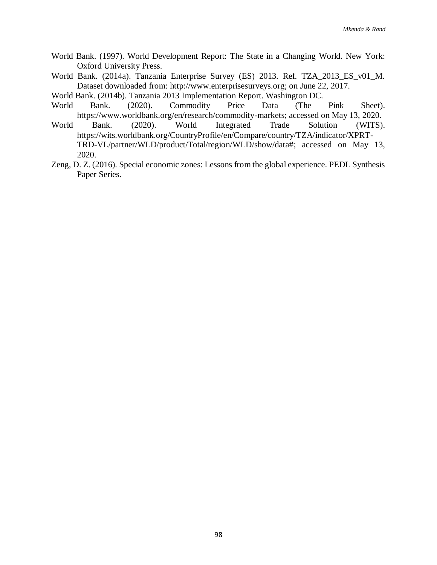- World Bank. (1997). World Development Report: The State in a Changing World. New York: Oxford University Press.
- World Bank. (2014a). Tanzania Enterprise Survey (ES) 2013. Ref. TZA\_2013\_ES\_v01\_M. Dataset downloaded from: http://www.enterprisesurveys.org; on June 22, 2017.

World Bank. (2014b). Tanzania 2013 Implementation Report. Washington DC.

- World Bank. (2020). Commodity Price Data (The Pink Sheet). [https://www.worldbank.org/en/research/commodity-markets;](https://www.worldbank.org/en/research/commodity-markets) accessed on May 13, 2020.
- World Bank. (2020). World Integrated Trade Solution (WITS). [https://wits.worldbank.org/CountryProfile/en/Compare/country/TZA/indicator/XPRT-](https://wits.worldbank.org/CountryProfile/en/Compare/country/TZA/indicator/XPRT-TRD-VL/partner/WLD/product/Total/region/WLD/show/data)[TRD-VL/partner/WLD/product/Total/region/WLD/show/data#;](https://wits.worldbank.org/CountryProfile/en/Compare/country/TZA/indicator/XPRT-TRD-VL/partner/WLD/product/Total/region/WLD/show/data) accessed on May 13, 2020.
- Zeng, D. Z. (2016). Special economic zones: Lessons from the global experience. PEDL Synthesis Paper Series.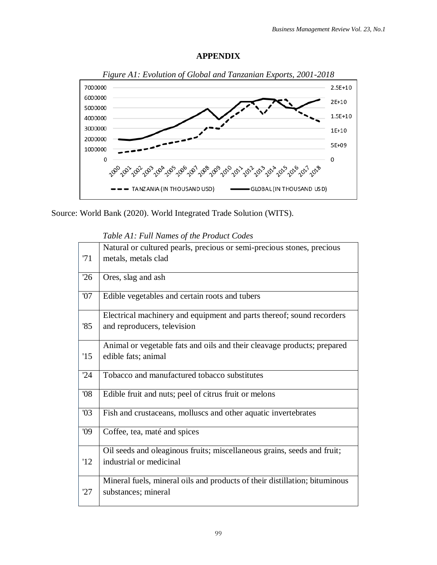## **APPENDIX**



Source: World Bank (2020). World Integrated Trade Solution (WITS).

*Table A1: Full Names of the Product Codes*

|     | Natural or cultured pearls, precious or semi-precious stones, precious     |
|-----|----------------------------------------------------------------------------|
| 71  | metals, metals clad                                                        |
|     |                                                                            |
| 26  | Ores, slag and ash                                                         |
| 07  | Edible vegetables and certain roots and tubers                             |
|     |                                                                            |
|     | Electrical machinery and equipment and parts thereof; sound recorders      |
| 85  | and reproducers, television                                                |
|     |                                                                            |
|     | Animal or vegetable fats and oils and their cleavage products; prepared    |
| '15 | edible fats; animal                                                        |
|     |                                                                            |
| 24  | Tobacco and manufactured tobacco substitutes                               |
| 08  | Edible fruit and nuts; peel of citrus fruit or melons                      |
|     |                                                                            |
| 03  | Fish and crustaceans, molluscs and other aquatic invertebrates             |
|     |                                                                            |
| '09 | Coffee, tea, maté and spices                                               |
|     |                                                                            |
|     | Oil seeds and oleaginous fruits; miscellaneous grains, seeds and fruit;    |
| 12  | industrial or medicinal                                                    |
|     | Mineral fuels, mineral oils and products of their distillation; bituminous |
| 27  | substances; mineral                                                        |
|     |                                                                            |
|     |                                                                            |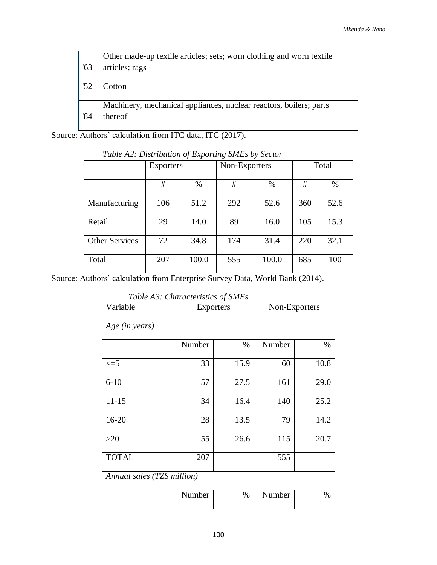| '63 | Other made-up textile articles; sets; worn clothing and worn textile<br>articles; rags |
|-----|----------------------------------------------------------------------------------------|
| '52 | Cotton                                                                                 |
|     | Machinery, mechanical appliances, nuclear reactors, boilers; parts                     |
| '84 | thereof                                                                                |

Source: Authors' calculation from ITC data, ITC (2017).

|                       | Exporters |       | Non-Exporters |       | Total |      |
|-----------------------|-----------|-------|---------------|-------|-------|------|
|                       | #         | %     | #             | %     | #     | $\%$ |
| Manufacturing         | 106       | 51.2  | 292           | 52.6  | 360   | 52.6 |
| Retail                | 29        | 14.0  | 89            | 16.0  | 105   | 15.3 |
| <b>Other Services</b> | 72        | 34.8  | 174           | 31.4  | 220   | 32.1 |
| Total                 | 207       | 100.0 | 555           | 100.0 | 685   | 100  |

*Table A2: Distribution of Exporting SMEs by Sector*

Source: Authors' calculation from Enterprise Survey Data, World Bank (2014).

*Table A3: Characteristics of SMEs* 

| Variable                   | Exporters      |      | Non-Exporters |      |
|----------------------------|----------------|------|---------------|------|
| Age (in years)             |                |      |               |      |
|                            | Number         | $\%$ | Number        | %    |
| $\leq$ =5                  | 33             | 15.9 | 60            | 10.8 |
| $6 - 10$                   | 57             | 27.5 | 161           | 29.0 |
| $11 - 15$                  | 34             | 16.4 | 140           | 25.2 |
| $16 - 20$                  | 28             | 13.5 | 79            | 14.2 |
| $>20$                      | 55             | 26.6 | 115           | 20.7 |
| <b>TOTAL</b>               | 207            |      | 555           |      |
| Annual sales (TZS million) |                |      |               |      |
|                            | Number<br>$\%$ |      | Number        | $\%$ |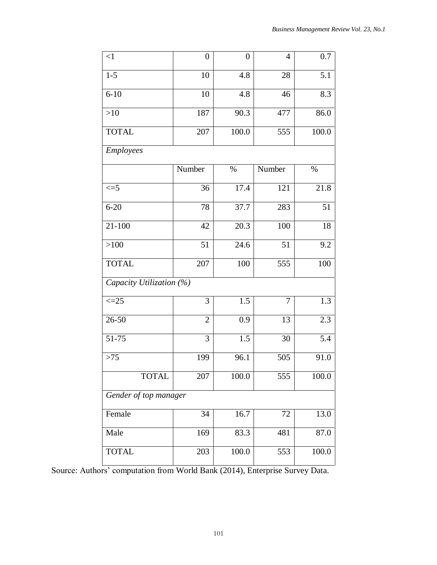| $\leq$ 1                 | $\overline{0}$ | $\boldsymbol{0}$ | $\overline{4}$ | 0.7   |  |
|--------------------------|----------------|------------------|----------------|-------|--|
| $1 - 5$                  | 10             | 4.8              | 28             | 5.1   |  |
| $6 - 10$                 | 10             | 4.8              | 46             | 8.3   |  |
| $>10$                    | 187            | 90.3             | 477            | 86.0  |  |
| <b>TOTAL</b>             | 207            | 100.0            | 555            | 100.0 |  |
| <b>Employees</b>         |                |                  |                |       |  |
|                          | Number         | $\%$             | Number         | $\%$  |  |
| $\leq$ =5                | 36             | 17.4             | 121            | 21.8  |  |
| $6 - 20$                 | $78\,$         | 37.7             | 283            | 51    |  |
| $21 - 100$               | 42             | 20.3             | 100            | 18    |  |
| >100                     | 51             | 24.6             | 51             | 9.2   |  |
| <b>TOTAL</b>             | 207            | 100              | 555            | 100   |  |
| Capacity Utilization (%) |                |                  |                |       |  |
| $\leq$ = 25              | 3              | 1.5              | $\overline{7}$ | 1.3   |  |
| $26 - 50$                | $\overline{2}$ | 0.9              | 13             | 2.3   |  |
| 51-75                    | 3              | 1.5              | 30             | 5.4   |  |
| $>75$                    | 199            | 96.1             | 505            | 91.0  |  |
| <b>TOTAL</b>             | 207            | 100.0            | 555            | 100.0 |  |
| Gender of top manager    |                |                  |                |       |  |
| Female                   | 34             | $\frac{1}{6.7}$  | 72             | 13.0  |  |
| Male                     | 169            | 83.3             | 481            | 87.0  |  |
| <b>TOTAL</b>             | 203            | 100.0            | 553            | 100.0 |  |

Source: Authors' computation from World Bank (2014), Enterprise Survey Data.